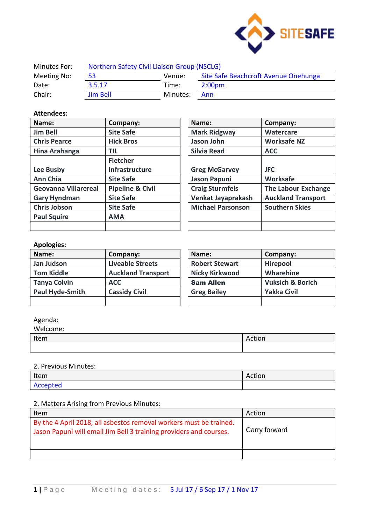

| Minutes For: | Northern Safety Civil Liaison Group (NSCLG) |          |                                      |
|--------------|---------------------------------------------|----------|--------------------------------------|
| Meeting No:  | 53                                          | Venue:   | Site Safe Beachcroft Avenue Onehunga |
| Date:        | 3.5.17                                      | Time:    | 2:00 <sub>pm</sub>                   |
| Chair:       | <b>Jim Bell</b>                             | Minutes: | Ann                                  |

### **Attendees:**

| Name:                | Company:                    | Name:                    | Company:                   |
|----------------------|-----------------------------|--------------------------|----------------------------|
| <b>Jim Bell</b>      | <b>Site Safe</b>            | <b>Mark Ridgway</b>      | Watercare                  |
| <b>Chris Pearce</b>  | <b>Hick Bros</b>            | Jason John               | <b>Worksafe NZ</b>         |
| Hina Arahanga        | TIL                         | <b>Silvia Read</b>       | <b>ACC</b>                 |
|                      | <b>Fletcher</b>             |                          |                            |
| Lee Busby            | <b>Infrastructure</b>       | <b>Greg McGarvey</b>     | <b>JFC</b>                 |
| <b>Ann Chia</b>      | <b>Site Safe</b>            | <b>Jason Papuni</b>      | Worksafe                   |
| Geovanna Villarereal | <b>Pipeline &amp; Civil</b> | <b>Craig Sturmfels</b>   | <b>The Labour Exchange</b> |
| <b>Gary Hyndman</b>  | <b>Site Safe</b>            | Venkat Jayaprakash       | <b>Auckland Transport</b>  |
| <b>Chris Jobson</b>  | <b>Site Safe</b>            | <b>Michael Parsonson</b> | <b>Southern Skies</b>      |
| <b>Paul Squire</b>   | <b>AMA</b>                  |                          |                            |
|                      |                             |                          |                            |

| Company:                    | Name:                    | Company:                   |
|-----------------------------|--------------------------|----------------------------|
| <b>Site Safe</b>            | <b>Mark Ridgway</b>      | <b>Watercare</b>           |
| <b>Hick Bros</b>            | Jason John               | <b>Worksafe NZ</b>         |
| TIL                         | <b>Silvia Read</b>       | <b>ACC</b>                 |
| <b>Fletcher</b>             |                          |                            |
| <b>Infrastructure</b>       | <b>Greg McGarvey</b>     | <b>JFC</b>                 |
| <b>Site Safe</b>            | <b>Jason Papuni</b>      | <b>Worksafe</b>            |
| <b>Pipeline &amp; Civil</b> | <b>Craig Sturmfels</b>   | <b>The Labour Exchange</b> |
| <b>Site Safe</b>            | Venkat Jayaprakash       | <b>Auckland Transport</b>  |
| <b>Site Safe</b>            | <b>Michael Parsonson</b> | <b>Southern Skies</b>      |
| AMA                         |                          |                            |
|                             |                          |                            |

# **Apologies:**

| Name:                  | Company:                  | Name:                 | Company:                    |
|------------------------|---------------------------|-----------------------|-----------------------------|
| Jan Judson             | <b>Liveable Streets</b>   | <b>Robert Stewart</b> | <b>Hirepool</b>             |
| <b>Tom Kiddle</b>      | <b>Auckland Transport</b> | <b>Nicky Kirkwood</b> | Wharehine                   |
| <b>Tanya Colvin</b>    | <b>ACC</b>                | <b>Sam Allen</b>      | <b>Vuksich &amp; Borich</b> |
| <b>Paul Hyde-Smith</b> | <b>Cassidy Civil</b>      | <b>Greg Bailey</b>    | <b>Yakka Civil</b>          |
|                        |                           |                       |                             |

## Agenda:

| Welcome: |        |
|----------|--------|
| Item     | Action |
|          |        |

#### 2. Previous Minutes:

| Item     | Action |
|----------|--------|
| Accepted |        |

### 2. Matters Arising from Previous Minutes:

| Item                                                                                                                                     | Action        |
|------------------------------------------------------------------------------------------------------------------------------------------|---------------|
| By the 4 April 2018, all asbestos removal workers must be trained.<br>Jason Papuni will email Jim Bell 3 training providers and courses. | Carry forward |
|                                                                                                                                          |               |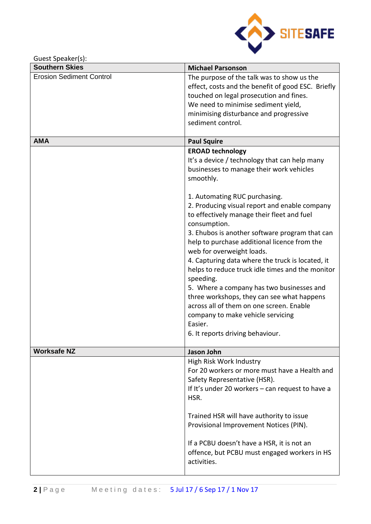

Guest Speaker(s):

| <b>Southern Skies</b>           | <b>Michael Parsonson</b>                           |
|---------------------------------|----------------------------------------------------|
| <b>Erosion Sediment Control</b> | The purpose of the talk was to show us the         |
|                                 | effect, costs and the benefit of good ESC. Briefly |
|                                 | touched on legal prosecution and fines.            |
|                                 | We need to minimise sediment yield,                |
|                                 | minimising disturbance and progressive             |
|                                 | sediment control.                                  |
| <b>AMA</b>                      | <b>Paul Squire</b>                                 |
|                                 | <b>EROAD technology</b>                            |
|                                 | It's a device / technology that can help many      |
|                                 | businesses to manage their work vehicles           |
|                                 | smoothly.                                          |
|                                 | 1. Automating RUC purchasing.                      |
|                                 | 2. Producing visual report and enable company      |
|                                 | to effectively manage their fleet and fuel         |
|                                 | consumption.                                       |
|                                 | 3. Ehubos is another software program that can     |
|                                 | help to purchase additional licence from the       |
|                                 | web for overweight loads.                          |
|                                 | 4. Capturing data where the truck is located, it   |
|                                 | helps to reduce truck idle times and the monitor   |
|                                 | speeding.                                          |
|                                 | 5. Where a company has two businesses and          |
|                                 | three workshops, they can see what happens         |
|                                 | across all of them on one screen. Enable           |
|                                 | company to make vehicle servicing                  |
|                                 | Easier.                                            |
|                                 | 6. It reports driving behaviour.                   |
| <b>Worksafe NZ</b>              | Jason John                                         |
|                                 | High Risk Work Industry                            |
|                                 | For 20 workers or more must have a Health and      |
|                                 | Safety Representative (HSR).                       |
|                                 | If It's under 20 workers - can request to have a   |
|                                 | HSR.                                               |
|                                 | Trained HSR will have authority to issue           |
|                                 | Provisional Improvement Notices (PIN).             |
|                                 |                                                    |
|                                 | If a PCBU doesn't have a HSR, it is not an         |
|                                 | offence, but PCBU must engaged workers in HS       |
|                                 | activities.                                        |
|                                 |                                                    |